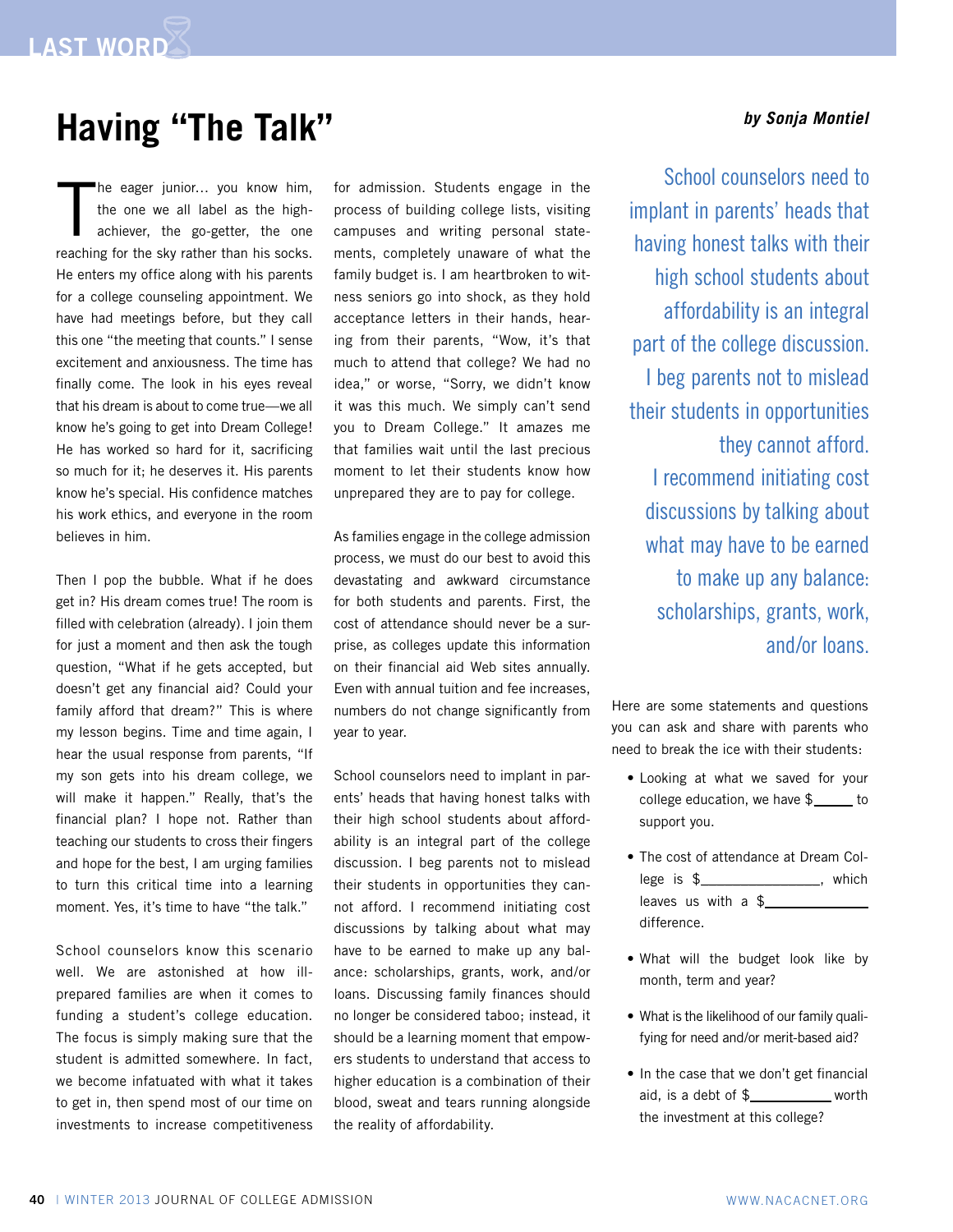## *by Sonja Montiel* **Having "The Talk"**

T he eager junior… you know him, the one we all label as the highachiever, the go-getter, the one reaching for the sky rather than his socks. He enters my office along with his parents for a college counseling appointment. We have had meetings before, but they call this one "the meeting that counts." I sense excitement and anxiousness. The time has finally come. The look in his eyes reveal that his dream is about to come true—we all know he's going to get into Dream College! He has worked so hard for it, sacrificing so much for it; he deserves it. His parents know he's special. His confidence matches his work ethics, and everyone in the room believes in him.

Then I pop the bubble. What if he does get in? His dream comes true! The room is filled with celebration (already). I join them for just a moment and then ask the tough question, "What if he gets accepted, but doesn't get any financial aid? Could your family afford that dream?" This is where my lesson begins. Time and time again, I hear the usual response from parents, "If my son gets into his dream college, we will make it happen." Really, that's the financial plan? I hope not. Rather than teaching our students to cross their fingers and hope for the best, I am urging families to turn this critical time into a learning moment. Yes, it's time to have "the talk."

School counselors know this scenario well. We are astonished at how illprepared families are when it comes to funding a student's college education. The focus is simply making sure that the student is admitted somewhere. In fact, we become infatuated with what it takes to get in, then spend most of our time on investments to increase competitiveness for admission. Students engage in the process of building college lists, visiting campuses and writing personal statements, completely unaware of what the family budget is. I am heartbroken to witness seniors go into shock, as they hold acceptance letters in their hands, hearing from their parents, "Wow, it's that much to attend that college? We had no idea," or worse, "Sorry, we didn't know it was this much. We simply can't send you to Dream College." It amazes me that families wait until the last precious moment to let their students know how unprepared they are to pay for college.

As families engage in the college admission process, we must do our best to avoid this devastating and awkward circumstance for both students and parents. First, the cost of attendance should never be a surprise, as colleges update this information on their financial aid Web sites annually. Even with annual tuition and fee increases, numbers do not change significantly from year to year.

School counselors need to implant in parents' heads that having honest talks with their high school students about affordability is an integral part of the college discussion. I beg parents not to mislead their students in opportunities they cannot afford. I recommend initiating cost discussions by talking about what may have to be earned to make up any balance: scholarships, grants, work, and/or loans. Discussing family finances should no longer be considered taboo; instead, it should be a learning moment that empowers students to understand that access to higher education is a combination of their blood, sweat and tears running alongside the reality of affordability.

School counselors need to implant in parents' heads that having honest talks with their high school students about affordability is an integral part of the college discussion. I beg parents not to mislead their students in opportunities they cannot afford. I recommend initiating cost discussions by talking about what may have to be earned to make up any balance: scholarships, grants, work, and/or loans.

Here are some statements and questions you can ask and share with parents who need to break the ice with their students:

- Looking at what we saved for your college education, we have \$\_\_\_\_\_ to support you.
- The cost of attendance at Dream College is \$\_\_\_\_\_\_\_\_\_\_\_\_\_\_\_, which leaves us with a  $$$ difference.
- • What will the budget look like by month, term and year?
- What is the likelihood of our family qualifying for need and/or merit-based aid?
- In the case that we don't get financial aid, is a debt of \$\_\_\_\_\_\_\_\_\_\_ worth the investment at this college?